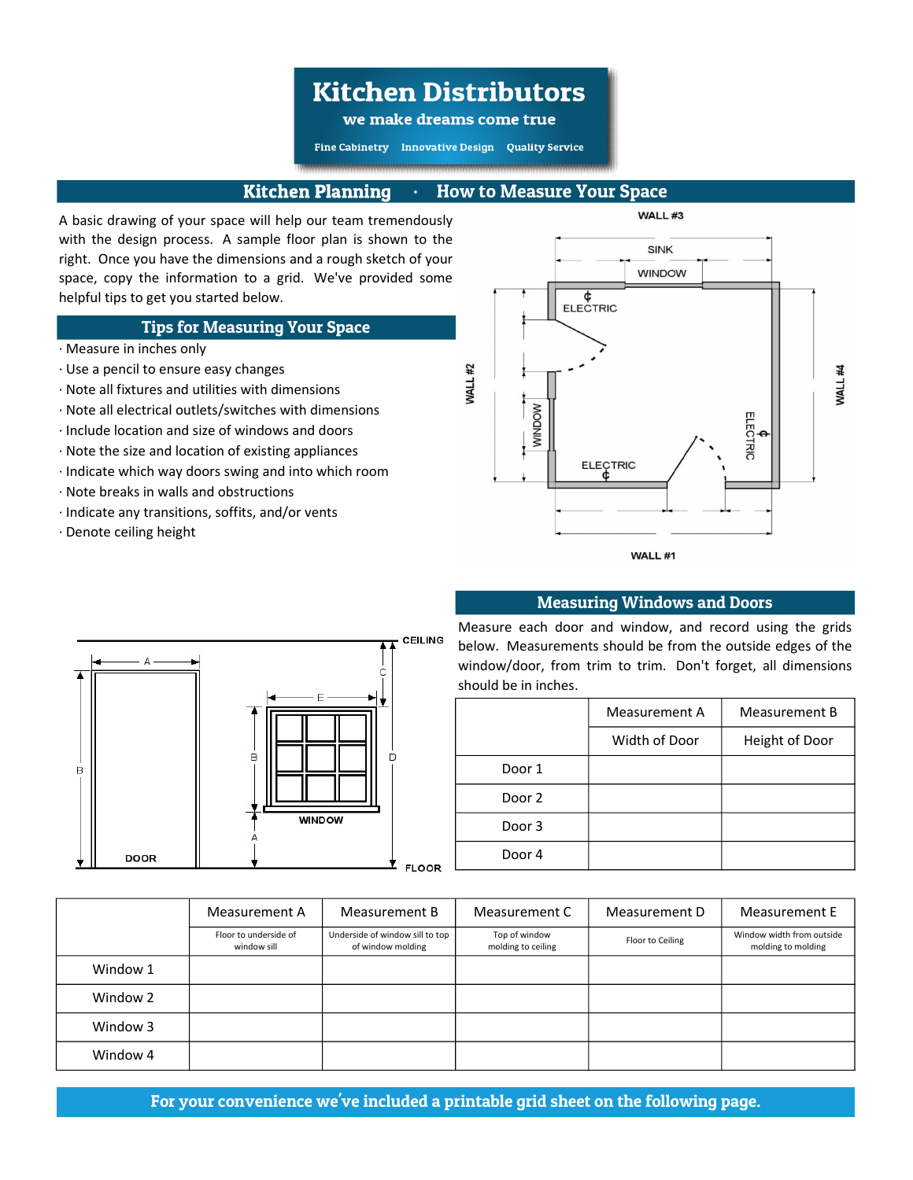## **Kitchen Distributors**

we make dreams come true

Fine Cabinetry Innovative Design Quality Service

### Kitchen Planning ∙ How to Measure Your Space

A basic drawing of your space will help our team tremendously with the design process. A sample floor plan is shown to the right. Once you have the dimensions and a rough sketch of your space, copy the information to a grid. We've provided some helpful tips to get you started below.

#### Tips for Measuring Your Space

- ∙ Measure in inches only
- ∙ Use a pencil to ensure easy changes
- ∙ Note all fixtures and utilities with dimensions
- ∙ Note all electrical outlets/switches with dimensions
- ∙ Include location and size of windows and doors
- ∙ Note the size and location of existing appliances
- ∙ Indicate which way doors swing and into which room
- ∙ Note breaks in walls and obstructions
- ∙ Indicate any transitions, soffits, and/or vents
- ∙ Denote ceiling height





#### Measuring Windows and Doors

Measure each door and window, and record using the grids below. Measurements should be from the outside edges of the window/door, from trim to trim. Don't forget, all dimensions should be in inches.

|        | Measurement A | Measurement B  |  |  |  |  |  |  |
|--------|---------------|----------------|--|--|--|--|--|--|
|        | Width of Door | Height of Door |  |  |  |  |  |  |
| Door 1 |               |                |  |  |  |  |  |  |
| Door 2 |               |                |  |  |  |  |  |  |
| Door 3 |               |                |  |  |  |  |  |  |
| Door 4 |               |                |  |  |  |  |  |  |

|          | Measurement A                        | Measurement B                                        | Measurement C                       | Measurement D    | Measurement E                                   |  |  |
|----------|--------------------------------------|------------------------------------------------------|-------------------------------------|------------------|-------------------------------------------------|--|--|
|          | Floor to underside of<br>window sill | Underside of window sill to top<br>of window molding | Top of window<br>molding to ceiling | Floor to Ceiling | Window width from outside<br>molding to molding |  |  |
| Window 1 |                                      |                                                      |                                     |                  |                                                 |  |  |
| Window 2 |                                      |                                                      |                                     |                  |                                                 |  |  |
| Window 3 |                                      |                                                      |                                     |                  |                                                 |  |  |
| Window 4 |                                      |                                                      |                                     |                  |                                                 |  |  |

For your convenience we've included a printable grid sheet on the following page.